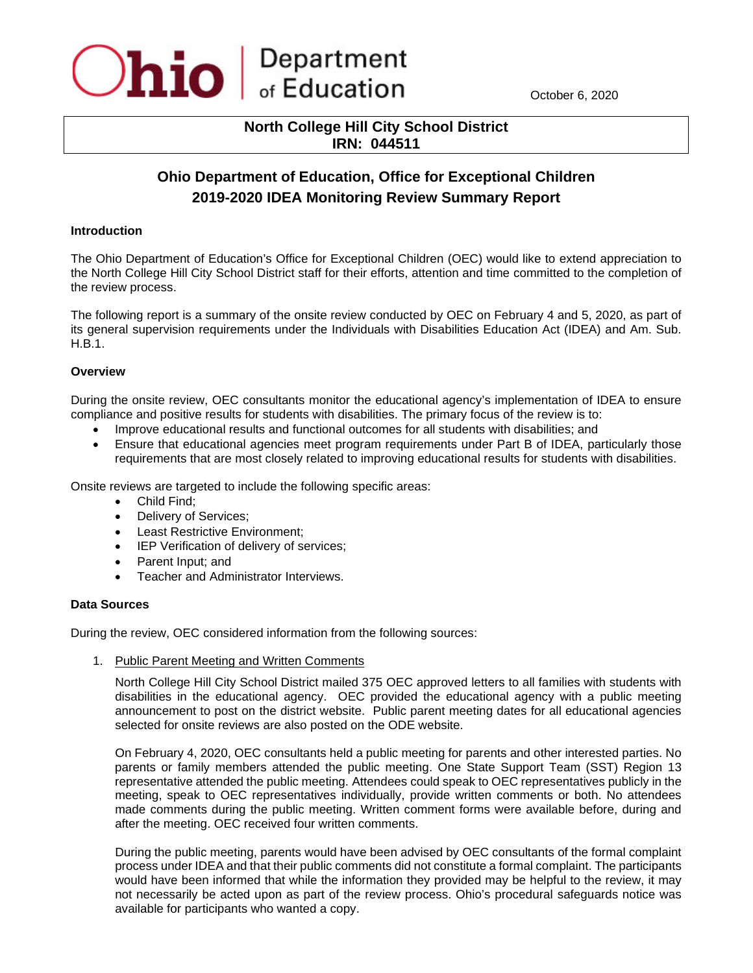

October 6, 2020

# **North College Hill City School District IRN: 044511**

# **Ohio Department of Education, Office for Exceptional Children 2019-2020 IDEA Monitoring Review Summary Report**

#### **Introduction**

The Ohio Department of Education's Office for Exceptional Children (OEC) would like to extend appreciation to the North College Hill City School District staff for their efforts, attention and time committed to the completion of the review process.

The following report is a summary of the onsite review conducted by OEC on February 4 and 5, 2020, as part of its general supervision requirements under the Individuals with Disabilities Education Act (IDEA) and Am. Sub. H.B.1.

## **Overview**

During the onsite review, OEC consultants monitor the educational agency's implementation of IDEA to ensure compliance and positive results for students with disabilities. The primary focus of the review is to:

- Improve educational results and functional outcomes for all students with disabilities; and
- Ensure that educational agencies meet program requirements under Part B of IDEA, particularly those requirements that are most closely related to improving educational results for students with disabilities.

Onsite reviews are targeted to include the following specific areas:

- Child Find;
- Delivery of Services;
- Least Restrictive Environment;
- IEP Verification of delivery of services;
- Parent Input; and
- Teacher and Administrator Interviews.

#### **Data Sources**

During the review, OEC considered information from the following sources:

1. Public Parent Meeting and Written Comments

North College Hill City School District mailed 375 OEC approved letters to all families with students with disabilities in the educational agency. OEC provided the educational agency with a public meeting announcement to post on the district website. Public parent meeting dates for all educational agencies selected for onsite reviews are also posted on the ODE website.

On February 4, 2020, OEC consultants held a public meeting for parents and other interested parties. No parents or family members attended the public meeting. One State Support Team (SST) Region 13 representative attended the public meeting. Attendees could speak to OEC representatives publicly in the meeting, speak to OEC representatives individually, provide written comments or both. No attendees made comments during the public meeting. Written comment forms were available before, during and after the meeting. OEC received four written comments.

During the public meeting, parents would have been advised by OEC consultants of the formal complaint process under IDEA and that their public comments did not constitute a formal complaint. The participants would have been informed that while the information they provided may be helpful to the review, it may not necessarily be acted upon as part of the review process. Ohio's procedural safeguards notice was available for participants who wanted a copy.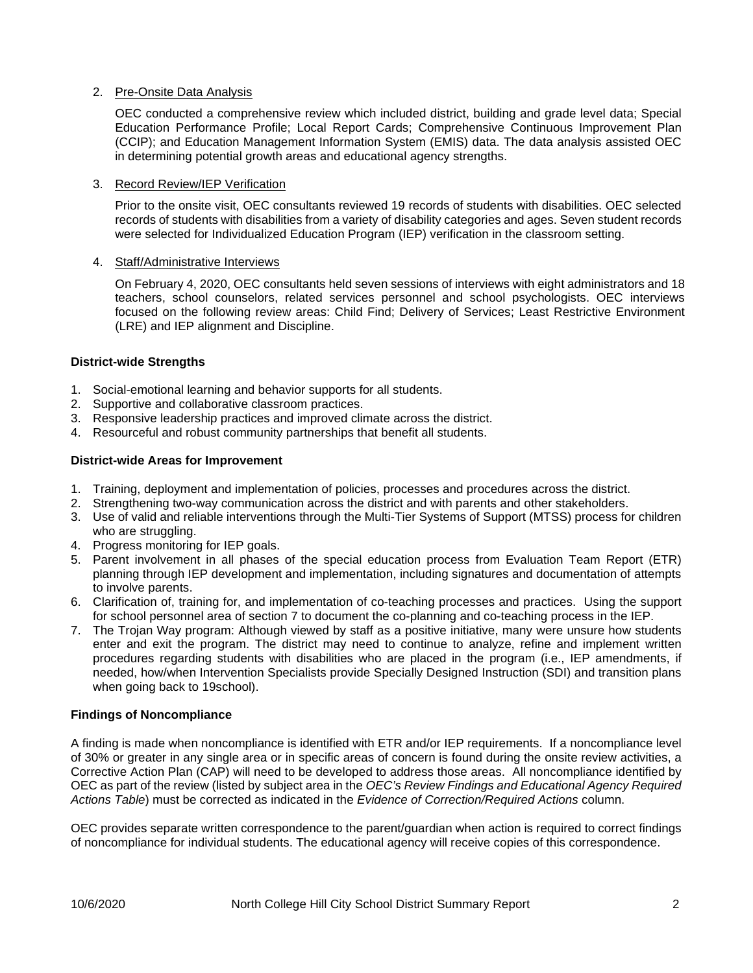## 2. Pre-Onsite Data Analysis

OEC conducted a comprehensive review which included district, building and grade level data; Special Education Performance Profile; Local Report Cards; Comprehensive Continuous Improvement Plan (CCIP); and Education Management Information System (EMIS) data. The data analysis assisted OEC in determining potential growth areas and educational agency strengths.

## 3. Record Review/IEP Verification

Prior to the onsite visit, OEC consultants reviewed 19 records of students with disabilities. OEC selected records of students with disabilities from a variety of disability categories and ages. Seven student records were selected for Individualized Education Program (IEP) verification in the classroom setting.

## 4. Staff/Administrative Interviews

On February 4, 2020, OEC consultants held seven sessions of interviews with eight administrators and 18 teachers, school counselors, related services personnel and school psychologists. OEC interviews focused on the following review areas: Child Find; Delivery of Services; Least Restrictive Environment (LRE) and IEP alignment and Discipline.

## **District-wide Strengths**

- 1. Social-emotional learning and behavior supports for all students.
- 2. Supportive and collaborative classroom practices.
- 3. Responsive leadership practices and improved climate across the district.
- 4. Resourceful and robust community partnerships that benefit all students.

## **District-wide Areas for Improvement**

- 1. Training, deployment and implementation of policies, processes and procedures across the district.
- 2. Strengthening two-way communication across the district and with parents and other stakeholders.
- 3. Use of valid and reliable interventions through the Multi-Tier Systems of Support (MTSS) process for children who are struggling.
- 4. Progress monitoring for IEP goals.
- 5. Parent involvement in all phases of the special education process from Evaluation Team Report (ETR) planning through IEP development and implementation, including signatures and documentation of attempts to involve parents.
- 6. Clarification of, training for, and implementation of co-teaching processes and practices. Using the support for school personnel area of section 7 to document the co-planning and co-teaching process in the IEP.
- 7. The Trojan Way program: Although viewed by staff as a positive initiative, many were unsure how students enter and exit the program. The district may need to continue to analyze, refine and implement written procedures regarding students with disabilities who are placed in the program (i.e., IEP amendments, if needed, how/when Intervention Specialists provide Specially Designed Instruction (SDI) and transition plans when going back to 19school).

#### **Findings of Noncompliance**

A finding is made when noncompliance is identified with ETR and/or IEP requirements. If a noncompliance level of 30% or greater in any single area or in specific areas of concern is found during the onsite review activities, a Corrective Action Plan (CAP) will need to be developed to address those areas. All noncompliance identified by OEC as part of the review (listed by subject area in the *OEC's Review Findings and Educational Agency Required Actions Table*) must be corrected as indicated in the *Evidence of Correction/Required Actions* column.

OEC provides separate written correspondence to the parent/guardian when action is required to correct findings of noncompliance for individual students. The educational agency will receive copies of this correspondence.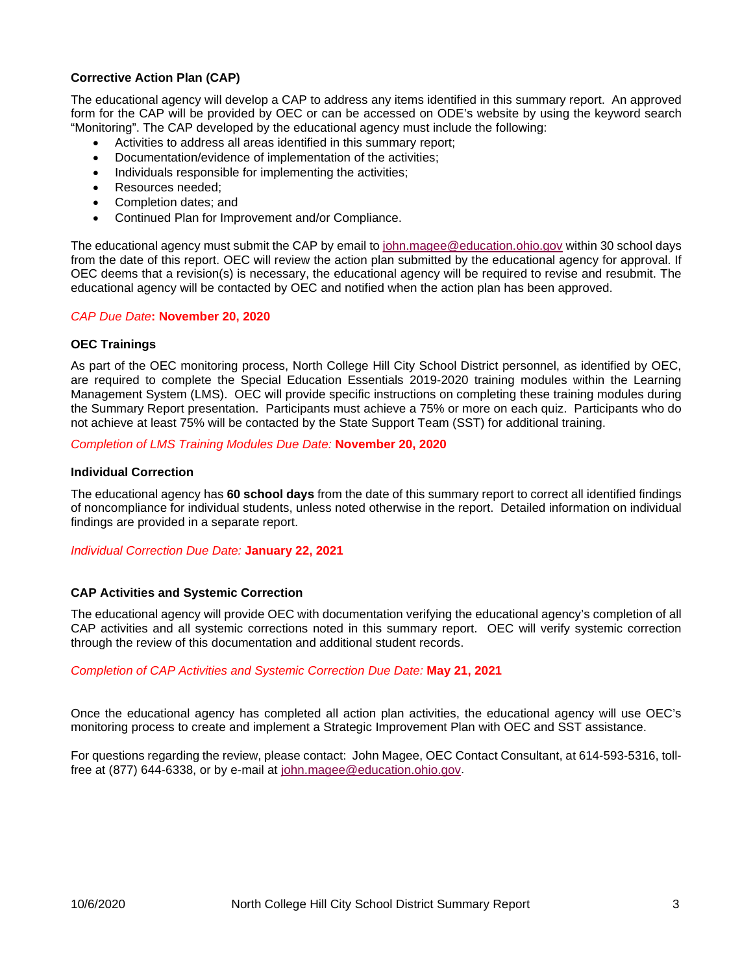## **Corrective Action Plan (CAP)**

The educational agency will develop a CAP to address any items identified in this summary report. An approved form for the CAP will be provided by OEC or can be accessed on ODE's website by using the keyword search "Monitoring". The CAP developed by the educational agency must include the following:

- Activities to address all areas identified in this summary report;
- Documentation/evidence of implementation of the activities;
- Individuals responsible for implementing the activities;
- Resources needed;
- Completion dates; and
- Continued Plan for Improvement and/or Compliance.

The educational agency must submit the CAP by email to [john.magee@education.ohio.gov](mailto:john.magee@education.ohio.gov) within 30 school days from the date of this report. OEC will review the action plan submitted by the educational agency for approval. If OEC deems that a revision(s) is necessary, the educational agency will be required to revise and resubmit. The educational agency will be contacted by OEC and notified when the action plan has been approved.

#### *CAP Due Date***: November 20, 2020**

#### **OEC Trainings**

As part of the OEC monitoring process, North College Hill City School District personnel, as identified by OEC, are required to complete the Special Education Essentials 2019-2020 training modules within the Learning Management System (LMS). OEC will provide specific instructions on completing these training modules during the Summary Report presentation. Participants must achieve a 75% or more on each quiz. Participants who do not achieve at least 75% will be contacted by the State Support Team (SST) for additional training.

*Completion of LMS Training Modules Due Date:* **November 20, 2020** 

#### **Individual Correction**

The educational agency has **60 school days** from the date of this summary report to correct all identified findings of noncompliance for individual students, unless noted otherwise in the report. Detailed information on individual findings are provided in a separate report.

*Individual Correction Due Date:* **January 22, 2021**

#### **CAP Activities and Systemic Correction**

The educational agency will provide OEC with documentation verifying the educational agency's completion of all CAP activities and all systemic corrections noted in this summary report. OEC will verify systemic correction through the review of this documentation and additional student records.

#### *Completion of CAP Activities and Systemic Correction Due Date:* **May 21, 2021**

Once the educational agency has completed all action plan activities, the educational agency will use OEC's monitoring process to create and implement a Strategic Improvement Plan with OEC and SST assistance.

For questions regarding the review, please contact:John Magee, OEC Contact Consultant, at 614-593-5316, tollfree at (877) 644-6338, or by e-mail at [john.magee@education.ohio.gov.](mailto:john.magee@education.ohio.gov)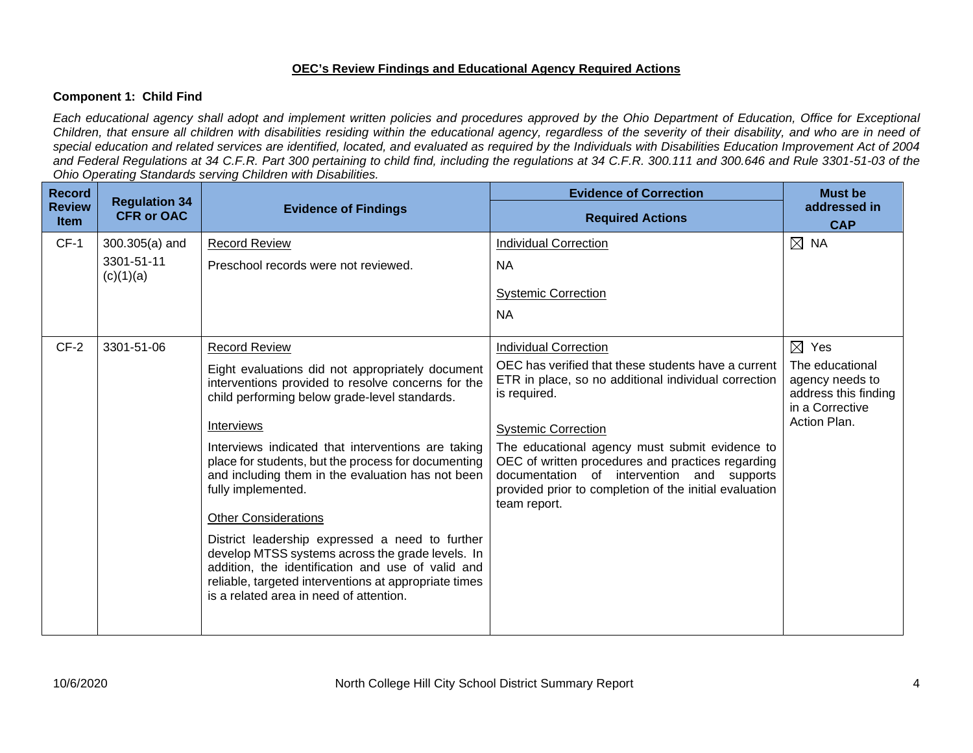## **OEC's Review Findings and Educational Agency Required Actions**

## **Component 1: Child Find**

*Each educational agency shall adopt and implement written policies and procedures approved by the Ohio Department of Education, Office for Exceptional Children, that ensure all children with disabilities residing within the educational agency, regardless of the severity of their disability, and who are in need of special education and related services are identified, located, and evaluated as required by the Individuals with Disabilities Education Improvement Act of 2004 and Federal Regulations at 34 C.F.R. Part 300 pertaining to child find, including the regulations at 34 C.F.R. 300.111 and 300.646 and Rule 3301-51-03 of the Ohio Operating Standards serving Children with Disabilities.* 

| <b>Record</b>                | <b>Regulation 34</b> |                                                                                                                                                                                                                                                                                                                                                                                                                                                                                                                                                                                                                                                              | <b>Evidence of Correction</b>                                                                                                                                                                                                                                                                                                                                                            | <b>Must be</b>                                                                                |
|------------------------------|----------------------|--------------------------------------------------------------------------------------------------------------------------------------------------------------------------------------------------------------------------------------------------------------------------------------------------------------------------------------------------------------------------------------------------------------------------------------------------------------------------------------------------------------------------------------------------------------------------------------------------------------------------------------------------------------|------------------------------------------------------------------------------------------------------------------------------------------------------------------------------------------------------------------------------------------------------------------------------------------------------------------------------------------------------------------------------------------|-----------------------------------------------------------------------------------------------|
| <b>Review</b><br><b>Item</b> | <b>CFR or OAC</b>    | <b>Evidence of Findings</b>                                                                                                                                                                                                                                                                                                                                                                                                                                                                                                                                                                                                                                  | <b>Required Actions</b>                                                                                                                                                                                                                                                                                                                                                                  | addressed in<br><b>CAP</b>                                                                    |
| $CF-1$                       | $300.305(a)$ and     | <b>Record Review</b>                                                                                                                                                                                                                                                                                                                                                                                                                                                                                                                                                                                                                                         | <b>Individual Correction</b>                                                                                                                                                                                                                                                                                                                                                             | $\boxtimes$ NA                                                                                |
| (c)(1)(a)                    | 3301-51-11           | Preschool records were not reviewed.                                                                                                                                                                                                                                                                                                                                                                                                                                                                                                                                                                                                                         | <b>NA</b>                                                                                                                                                                                                                                                                                                                                                                                |                                                                                               |
|                              |                      |                                                                                                                                                                                                                                                                                                                                                                                                                                                                                                                                                                                                                                                              | <b>Systemic Correction</b>                                                                                                                                                                                                                                                                                                                                                               |                                                                                               |
|                              |                      |                                                                                                                                                                                                                                                                                                                                                                                                                                                                                                                                                                                                                                                              | <b>NA</b>                                                                                                                                                                                                                                                                                                                                                                                |                                                                                               |
| $CF-2$                       | 3301-51-06           | <b>Record Review</b>                                                                                                                                                                                                                                                                                                                                                                                                                                                                                                                                                                                                                                         | <b>Individual Correction</b>                                                                                                                                                                                                                                                                                                                                                             | $\boxtimes$ Yes                                                                               |
|                              |                      | Eight evaluations did not appropriately document<br>interventions provided to resolve concerns for the<br>child performing below grade-level standards.<br>Interviews<br>Interviews indicated that interventions are taking<br>place for students, but the process for documenting<br>and including them in the evaluation has not been<br>fully implemented.<br><b>Other Considerations</b><br>District leadership expressed a need to further<br>develop MTSS systems across the grade levels. In<br>addition, the identification and use of valid and<br>reliable, targeted interventions at appropriate times<br>is a related area in need of attention. | OEC has verified that these students have a current<br>ETR in place, so no additional individual correction<br>is required.<br><b>Systemic Correction</b><br>The educational agency must submit evidence to<br>OEC of written procedures and practices regarding<br>documentation of intervention and supports<br>provided prior to completion of the initial evaluation<br>team report. | The educational<br>agency needs to<br>address this finding<br>in a Corrective<br>Action Plan. |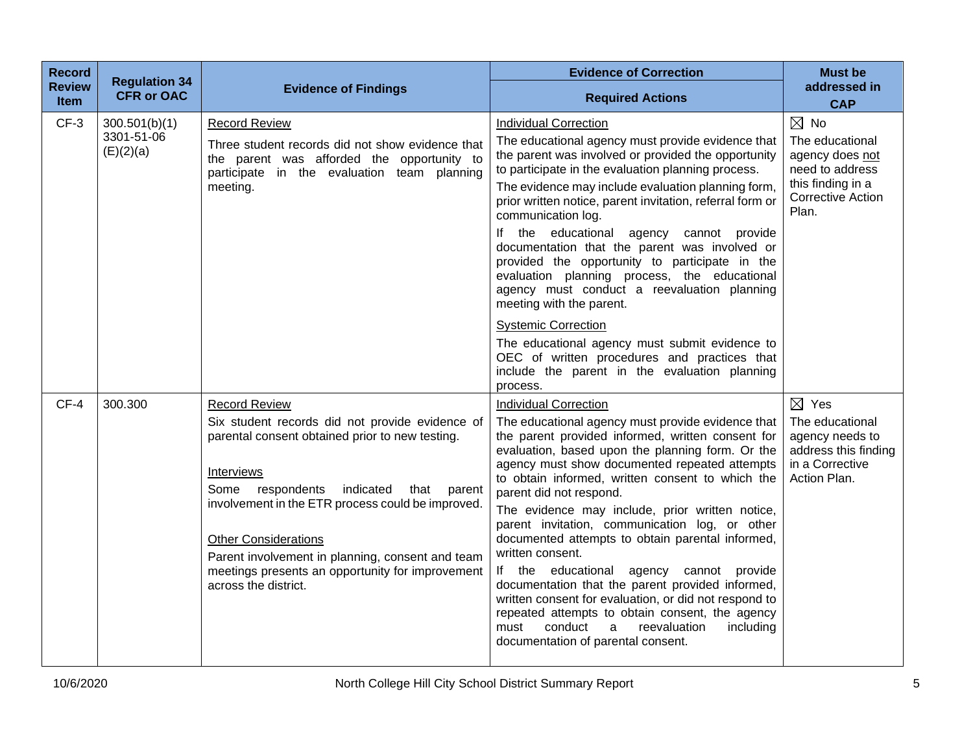| <b>Record</b><br><b>Review</b><br><b>Item</b> | <b>Regulation 34</b><br><b>CFR or OAC</b> | <b>Evidence of Findings</b>                                                                                                                                                                                                                                                                                                                                                                                     | <b>Evidence of Correction</b><br><b>Required Actions</b>                                                                                                                                                                                                                                                                                                                                                                                                                                                                                                                                                                                                                                                                                                                                                          | <b>Must be</b><br>addressed in<br><b>CAP</b>                                                                                      |
|-----------------------------------------------|-------------------------------------------|-----------------------------------------------------------------------------------------------------------------------------------------------------------------------------------------------------------------------------------------------------------------------------------------------------------------------------------------------------------------------------------------------------------------|-------------------------------------------------------------------------------------------------------------------------------------------------------------------------------------------------------------------------------------------------------------------------------------------------------------------------------------------------------------------------------------------------------------------------------------------------------------------------------------------------------------------------------------------------------------------------------------------------------------------------------------------------------------------------------------------------------------------------------------------------------------------------------------------------------------------|-----------------------------------------------------------------------------------------------------------------------------------|
| $CF-3$                                        | 300.501(b)(1)<br>3301-51-06<br>(E)(2)(a)  | <b>Record Review</b><br>Three student records did not show evidence that<br>the parent was afforded the opportunity to<br>participate in the evaluation team planning<br>meeting.                                                                                                                                                                                                                               | <b>Individual Correction</b><br>The educational agency must provide evidence that<br>the parent was involved or provided the opportunity<br>to participate in the evaluation planning process.<br>The evidence may include evaluation planning form,<br>prior written notice, parent invitation, referral form or<br>communication log.<br>If the educational agency<br>cannot provide<br>documentation that the parent was involved or<br>provided the opportunity to participate in the<br>evaluation planning process, the educational<br>agency must conduct a reevaluation planning<br>meeting with the parent.                                                                                                                                                                                              | $\boxtimes$ No<br>The educational<br>agency does not<br>need to address<br>this finding in a<br><b>Corrective Action</b><br>Plan. |
|                                               |                                           |                                                                                                                                                                                                                                                                                                                                                                                                                 | <b>Systemic Correction</b><br>The educational agency must submit evidence to<br>OEC of written procedures and practices that<br>include the parent in the evaluation planning<br>process.                                                                                                                                                                                                                                                                                                                                                                                                                                                                                                                                                                                                                         |                                                                                                                                   |
| $CF-4$                                        | 300.300                                   | <b>Record Review</b><br>Six student records did not provide evidence of<br>parental consent obtained prior to new testing.<br>Interviews<br>indicated<br>Some respondents<br>that<br>parent<br>involvement in the ETR process could be improved.<br><b>Other Considerations</b><br>Parent involvement in planning, consent and team<br>meetings presents an opportunity for improvement<br>across the district. | <b>Individual Correction</b><br>The educational agency must provide evidence that<br>the parent provided informed, written consent for<br>evaluation, based upon the planning form. Or the<br>agency must show documented repeated attempts<br>to obtain informed, written consent to which the<br>parent did not respond.<br>The evidence may include, prior written notice,<br>parent invitation, communication log, or other<br>documented attempts to obtain parental informed,<br>written consent.<br>If the educational agency cannot<br>provide<br>documentation that the parent provided informed,<br>written consent for evaluation, or did not respond to<br>repeated attempts to obtain consent, the agency<br>conduct<br>reevaluation<br>including<br>must<br>a<br>documentation of parental consent. | $\boxtimes$ Yes<br>The educational<br>agency needs to<br>address this finding<br>in a Corrective<br>Action Plan.                  |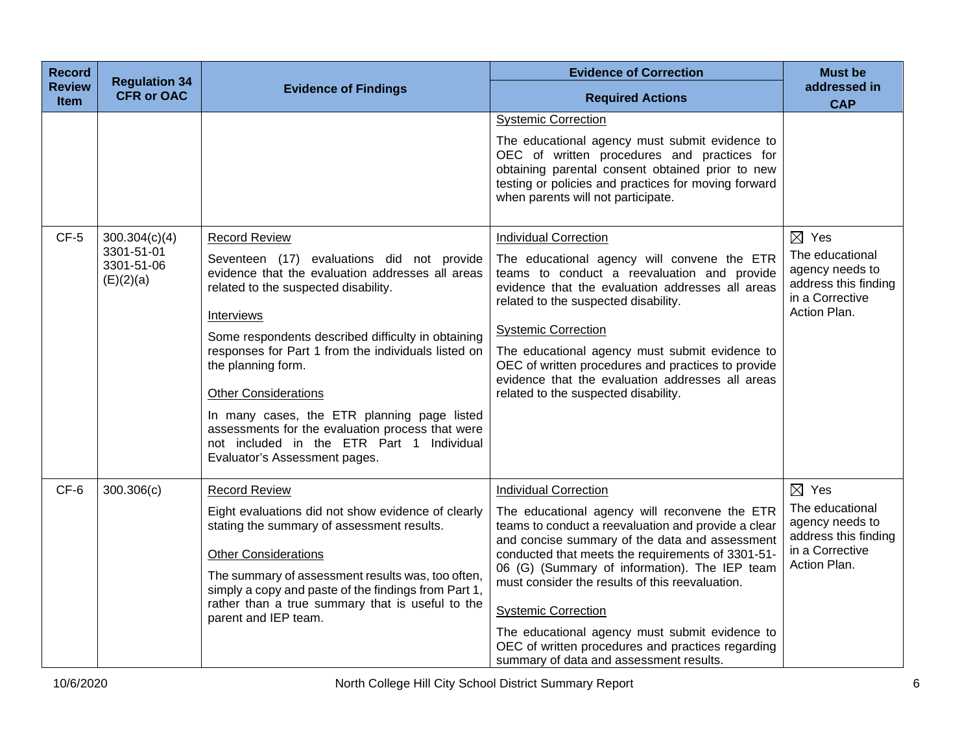| <b>Record</b><br><b>Review</b><br>Item | <b>Regulation 34</b><br><b>CFR or OAC</b>              | <b>Evidence of Findings</b>                                                                                                                                                                                                                                                                                                                                                                                                                                                                                                     | <b>Evidence of Correction</b><br><b>Required Actions</b>                                                                                                                                                                                                                                                                                                                                                                                                                                                                        | <b>Must be</b><br>addressed in<br><b>CAP</b>                                                                     |
|----------------------------------------|--------------------------------------------------------|---------------------------------------------------------------------------------------------------------------------------------------------------------------------------------------------------------------------------------------------------------------------------------------------------------------------------------------------------------------------------------------------------------------------------------------------------------------------------------------------------------------------------------|---------------------------------------------------------------------------------------------------------------------------------------------------------------------------------------------------------------------------------------------------------------------------------------------------------------------------------------------------------------------------------------------------------------------------------------------------------------------------------------------------------------------------------|------------------------------------------------------------------------------------------------------------------|
|                                        |                                                        |                                                                                                                                                                                                                                                                                                                                                                                                                                                                                                                                 | <b>Systemic Correction</b><br>The educational agency must submit evidence to<br>OEC of written procedures and practices for<br>obtaining parental consent obtained prior to new<br>testing or policies and practices for moving forward<br>when parents will not participate.                                                                                                                                                                                                                                                   |                                                                                                                  |
| $CF-5$                                 | 300.304(c)(4)<br>3301-51-01<br>3301-51-06<br>(E)(2)(a) | <b>Record Review</b><br>Seventeen (17) evaluations did not provide<br>evidence that the evaluation addresses all areas<br>related to the suspected disability.<br>Interviews<br>Some respondents described difficulty in obtaining<br>responses for Part 1 from the individuals listed on<br>the planning form.<br><b>Other Considerations</b><br>In many cases, the ETR planning page listed<br>assessments for the evaluation process that were<br>not included in the ETR Part 1 Individual<br>Evaluator's Assessment pages. | <b>Individual Correction</b><br>The educational agency will convene the ETR<br>teams to conduct a reevaluation and provide<br>evidence that the evaluation addresses all areas<br>related to the suspected disability.<br><b>Systemic Correction</b><br>The educational agency must submit evidence to<br>OEC of written procedures and practices to provide<br>evidence that the evaluation addresses all areas<br>related to the suspected disability.                                                                        | $\boxtimes$ Yes<br>The educational<br>agency needs to<br>address this finding<br>in a Corrective<br>Action Plan. |
| CF-6                                   | 300.306(c)                                             | <b>Record Review</b><br>Eight evaluations did not show evidence of clearly<br>stating the summary of assessment results.<br><b>Other Considerations</b><br>The summary of assessment results was, too often,<br>simply a copy and paste of the findings from Part 1,<br>rather than a true summary that is useful to the<br>parent and IEP team.                                                                                                                                                                                | <b>Individual Correction</b><br>The educational agency will reconvene the ETR<br>teams to conduct a reevaluation and provide a clear<br>and concise summary of the data and assessment<br>conducted that meets the requirements of 3301-51-<br>06 (G) (Summary of information). The IEP team<br>must consider the results of this reevaluation.<br><b>Systemic Correction</b><br>The educational agency must submit evidence to<br>OEC of written procedures and practices regarding<br>summary of data and assessment results. | $\boxtimes$ Yes<br>The educational<br>agency needs to<br>address this finding<br>in a Corrective<br>Action Plan. |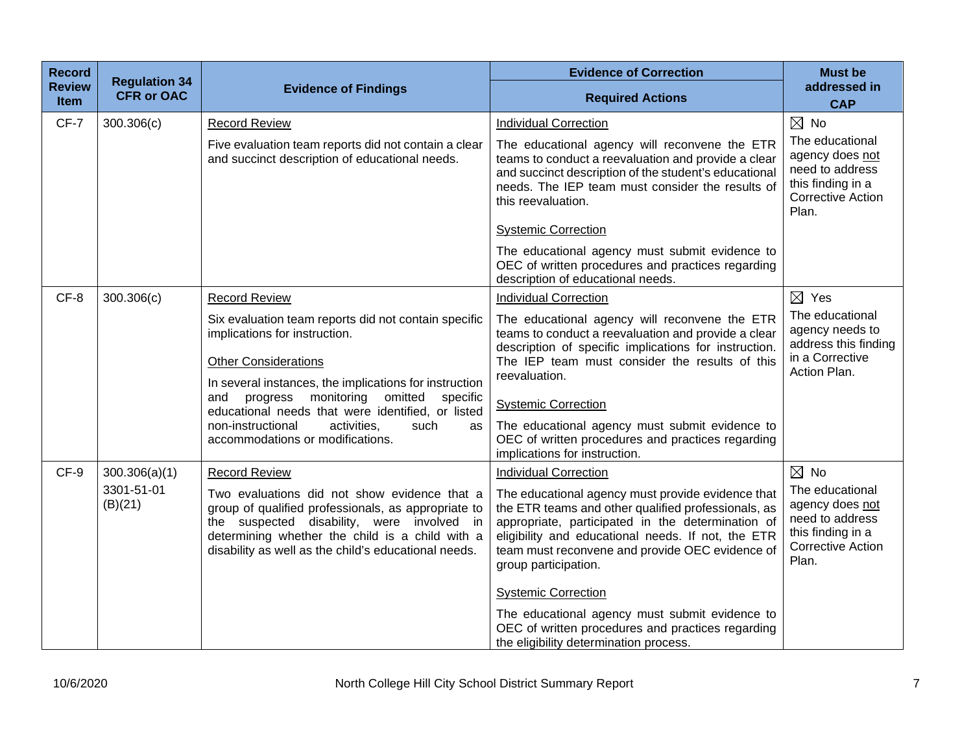| <b>Record</b><br><b>Review</b> | <b>Regulation 34</b>  | <b>Evidence of Findings</b>                                                                                                                                                                                                                                  | <b>Evidence of Correction</b>                                                                                                                                                                                                                                                                  | <b>Must be</b><br>addressed in                                                                                  |
|--------------------------------|-----------------------|--------------------------------------------------------------------------------------------------------------------------------------------------------------------------------------------------------------------------------------------------------------|------------------------------------------------------------------------------------------------------------------------------------------------------------------------------------------------------------------------------------------------------------------------------------------------|-----------------------------------------------------------------------------------------------------------------|
| <b>Item</b>                    | <b>CFR or OAC</b>     |                                                                                                                                                                                                                                                              | <b>Required Actions</b>                                                                                                                                                                                                                                                                        | <b>CAP</b>                                                                                                      |
| CF-7                           | 300.306(c)            | <b>Record Review</b>                                                                                                                                                                                                                                         | <b>Individual Correction</b>                                                                                                                                                                                                                                                                   | $\boxtimes$ No                                                                                                  |
|                                |                       | Five evaluation team reports did not contain a clear<br>and succinct description of educational needs.                                                                                                                                                       | The educational agency will reconvene the ETR<br>teams to conduct a reevaluation and provide a clear<br>and succinct description of the student's educational<br>needs. The IEP team must consider the results of<br>this reevaluation.                                                        | The educational<br>agency does not<br>need to address<br>this finding in a<br><b>Corrective Action</b><br>Plan. |
|                                |                       |                                                                                                                                                                                                                                                              | <b>Systemic Correction</b>                                                                                                                                                                                                                                                                     |                                                                                                                 |
|                                |                       |                                                                                                                                                                                                                                                              | The educational agency must submit evidence to<br>OEC of written procedures and practices regarding<br>description of educational needs.                                                                                                                                                       |                                                                                                                 |
| CF-8                           | 300.306(c)            | <b>Record Review</b>                                                                                                                                                                                                                                         | <b>Individual Correction</b>                                                                                                                                                                                                                                                                   | $\boxtimes$ Yes                                                                                                 |
|                                |                       | Six evaluation team reports did not contain specific<br>implications for instruction.<br><b>Other Considerations</b>                                                                                                                                         | The educational agency will reconvene the ETR<br>teams to conduct a reevaluation and provide a clear<br>description of specific implications for instruction.<br>The IEP team must consider the results of this                                                                                | The educational<br>agency needs to<br>address this finding<br>in a Corrective                                   |
|                                |                       | In several instances, the implications for instruction                                                                                                                                                                                                       | reevaluation.                                                                                                                                                                                                                                                                                  | Action Plan.                                                                                                    |
|                                |                       | and progress monitoring<br>omitted<br>specific<br>educational needs that were identified, or listed                                                                                                                                                          | <b>Systemic Correction</b>                                                                                                                                                                                                                                                                     |                                                                                                                 |
|                                |                       | non-instructional<br>activities.<br>such<br>as<br>accommodations or modifications.                                                                                                                                                                           | The educational agency must submit evidence to<br>OEC of written procedures and practices regarding<br>implications for instruction.                                                                                                                                                           |                                                                                                                 |
| CF-9                           | 300.306(a)(1)         | <b>Record Review</b>                                                                                                                                                                                                                                         | <b>Individual Correction</b>                                                                                                                                                                                                                                                                   | $\boxtimes$ No                                                                                                  |
|                                | 3301-51-01<br>(B)(21) | Two evaluations did not show evidence that a<br>group of qualified professionals, as appropriate to<br>the suspected disability, were involved in<br>determining whether the child is a child with a<br>disability as well as the child's educational needs. | The educational agency must provide evidence that<br>the ETR teams and other qualified professionals, as<br>appropriate, participated in the determination of<br>eligibility and educational needs. If not, the ETR<br>team must reconvene and provide OEC evidence of<br>group participation. | The educational<br>agency does not<br>need to address<br>this finding in a<br><b>Corrective Action</b><br>Plan. |
|                                |                       |                                                                                                                                                                                                                                                              | <b>Systemic Correction</b><br>The educational agency must submit evidence to<br>OEC of written procedures and practices regarding<br>the eligibility determination process.                                                                                                                    |                                                                                                                 |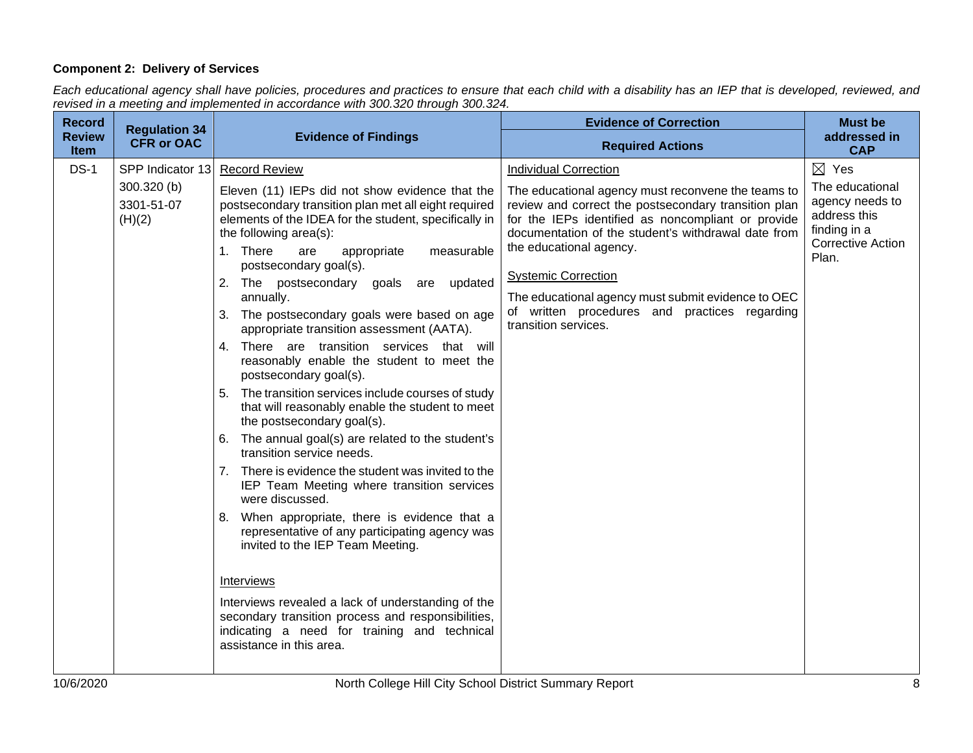## **Component 2: Delivery of Services**

*Each educational agency shall have policies, procedures and practices to ensure that each child with a disability has an IEP that is developed, reviewed, and revised in a meeting and implemented in accordance with 300.320 through 300.324.*

| <b>Record</b><br><b>Review</b> | <b>Regulation 34</b>                                    | <b>Evidence of Findings</b>                                                                                                                                                                                                                                                                                                                                                                                                                                                                                                                                                                                                                                                                                                                                                                                                                                                                                                                                                                                                                                                                                                                                                                                                                                                    | <b>Evidence of Correction</b>                                                                                                                                                                                                                                                                                                                                                                                                                   | <b>Must be</b><br>addressed in                                                                                             |
|--------------------------------|---------------------------------------------------------|--------------------------------------------------------------------------------------------------------------------------------------------------------------------------------------------------------------------------------------------------------------------------------------------------------------------------------------------------------------------------------------------------------------------------------------------------------------------------------------------------------------------------------------------------------------------------------------------------------------------------------------------------------------------------------------------------------------------------------------------------------------------------------------------------------------------------------------------------------------------------------------------------------------------------------------------------------------------------------------------------------------------------------------------------------------------------------------------------------------------------------------------------------------------------------------------------------------------------------------------------------------------------------|-------------------------------------------------------------------------------------------------------------------------------------------------------------------------------------------------------------------------------------------------------------------------------------------------------------------------------------------------------------------------------------------------------------------------------------------------|----------------------------------------------------------------------------------------------------------------------------|
| <b>Item</b>                    | <b>CFR or OAC</b>                                       |                                                                                                                                                                                                                                                                                                                                                                                                                                                                                                                                                                                                                                                                                                                                                                                                                                                                                                                                                                                                                                                                                                                                                                                                                                                                                | <b>Required Actions</b>                                                                                                                                                                                                                                                                                                                                                                                                                         | <b>CAP</b>                                                                                                                 |
| $DS-1$                         | SPP Indicator 13<br>300.320 (b)<br>3301-51-07<br>(H)(2) | <b>Record Review</b><br>Eleven (11) IEPs did not show evidence that the<br>postsecondary transition plan met all eight required<br>elements of the IDEA for the student, specifically in<br>the following area(s):<br>1. There<br>appropriate<br>measurable<br>are<br>postsecondary goal(s).<br>2. The postsecondary goals are updated<br>annually.<br>The postsecondary goals were based on age<br>3.<br>appropriate transition assessment (AATA).<br>4. There are transition services that will<br>reasonably enable the student to meet the<br>postsecondary goal(s).<br>5. The transition services include courses of study<br>that will reasonably enable the student to meet<br>the postsecondary goal(s).<br>The annual goal(s) are related to the student's<br>6.<br>transition service needs.<br>There is evidence the student was invited to the<br>7.<br>IEP Team Meeting where transition services<br>were discussed.<br>8. When appropriate, there is evidence that a<br>representative of any participating agency was<br>invited to the IEP Team Meeting.<br>Interviews<br>Interviews revealed a lack of understanding of the<br>secondary transition process and responsibilities,<br>indicating a need for training and technical<br>assistance in this area. | <b>Individual Correction</b><br>The educational agency must reconvene the teams to<br>review and correct the postsecondary transition plan<br>for the IEPs identified as noncompliant or provide<br>documentation of the student's withdrawal date from<br>the educational agency.<br><b>Systemic Correction</b><br>The educational agency must submit evidence to OEC<br>of written procedures and practices regarding<br>transition services. | $\boxtimes$ Yes<br>The educational<br>agency needs to<br>address this<br>finding in a<br><b>Corrective Action</b><br>Plan. |
|                                |                                                         |                                                                                                                                                                                                                                                                                                                                                                                                                                                                                                                                                                                                                                                                                                                                                                                                                                                                                                                                                                                                                                                                                                                                                                                                                                                                                |                                                                                                                                                                                                                                                                                                                                                                                                                                                 |                                                                                                                            |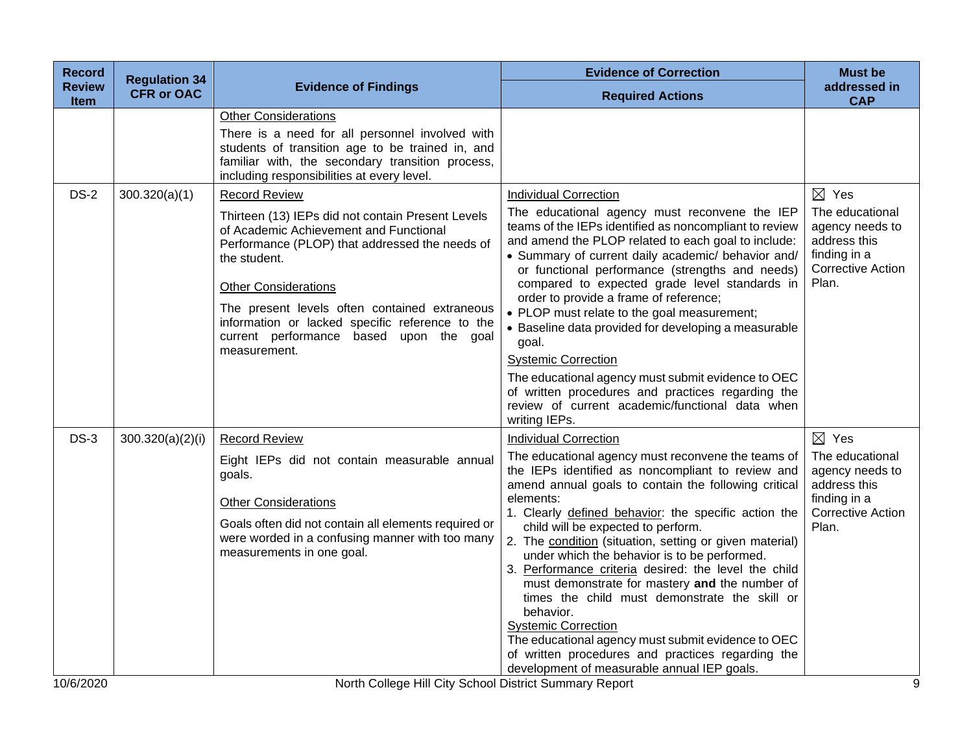| <b>Record</b>         | <b>Regulation 34</b> |                                                                                                                                                                                                                                                                                                                                                                                     | <b>Evidence of Correction</b>                                                                                                                                                                                                                                                                                                                                                                                                                                                                                                                                                                                                                                                                                                                                                         | <b>Must be</b>                                                                                                             |
|-----------------------|----------------------|-------------------------------------------------------------------------------------------------------------------------------------------------------------------------------------------------------------------------------------------------------------------------------------------------------------------------------------------------------------------------------------|---------------------------------------------------------------------------------------------------------------------------------------------------------------------------------------------------------------------------------------------------------------------------------------------------------------------------------------------------------------------------------------------------------------------------------------------------------------------------------------------------------------------------------------------------------------------------------------------------------------------------------------------------------------------------------------------------------------------------------------------------------------------------------------|----------------------------------------------------------------------------------------------------------------------------|
| <b>Review</b><br>Item | <b>CFR or OAC</b>    | <b>Evidence of Findings</b>                                                                                                                                                                                                                                                                                                                                                         | <b>Required Actions</b>                                                                                                                                                                                                                                                                                                                                                                                                                                                                                                                                                                                                                                                                                                                                                               | addressed in<br><b>CAP</b>                                                                                                 |
|                       |                      | <b>Other Considerations</b><br>There is a need for all personnel involved with<br>students of transition age to be trained in, and<br>familiar with, the secondary transition process,<br>including responsibilities at every level.                                                                                                                                                |                                                                                                                                                                                                                                                                                                                                                                                                                                                                                                                                                                                                                                                                                                                                                                                       |                                                                                                                            |
| $DS-2$                | 300.320(a)(1)        | <b>Record Review</b><br>Thirteen (13) IEPs did not contain Present Levels<br>of Academic Achievement and Functional<br>Performance (PLOP) that addressed the needs of<br>the student.<br><b>Other Considerations</b><br>The present levels often contained extraneous<br>information or lacked specific reference to the<br>current performance based upon the goal<br>measurement. | <b>Individual Correction</b><br>The educational agency must reconvene the IEP<br>teams of the IEPs identified as noncompliant to review<br>and amend the PLOP related to each goal to include:<br>• Summary of current daily academic/ behavior and/<br>or functional performance (strengths and needs)<br>compared to expected grade level standards in<br>order to provide a frame of reference;<br>• PLOP must relate to the goal measurement;<br>• Baseline data provided for developing a measurable<br>goal.<br><b>Systemic Correction</b><br>The educational agency must submit evidence to OEC<br>of written procedures and practices regarding the<br>review of current academic/functional data when<br>writing IEPs.                                                       | $\boxtimes$ Yes<br>The educational<br>agency needs to<br>address this<br>finding in a<br><b>Corrective Action</b><br>Plan. |
| $DS-3$                | 300.320(a)(2)(i)     | <b>Record Review</b><br>Eight IEPs did not contain measurable annual<br>goals.<br><b>Other Considerations</b><br>Goals often did not contain all elements required or<br>were worded in a confusing manner with too many<br>measurements in one goal.                                                                                                                               | <b>Individual Correction</b><br>The educational agency must reconvene the teams of<br>the IEPs identified as noncompliant to review and<br>amend annual goals to contain the following critical<br>elements:<br>1. Clearly defined behavior: the specific action the<br>child will be expected to perform.<br>2. The condition (situation, setting or given material)<br>under which the behavior is to be performed.<br>3. Performance criteria desired: the level the child<br>must demonstrate for mastery and the number of<br>times the child must demonstrate the skill or<br>behavior.<br><b>Systemic Correction</b><br>The educational agency must submit evidence to OEC<br>of written procedures and practices regarding the<br>development of measurable annual IEP goals. | $\boxtimes$ Yes<br>The educational<br>agency needs to<br>address this<br>finding in a<br><b>Corrective Action</b><br>Plan. |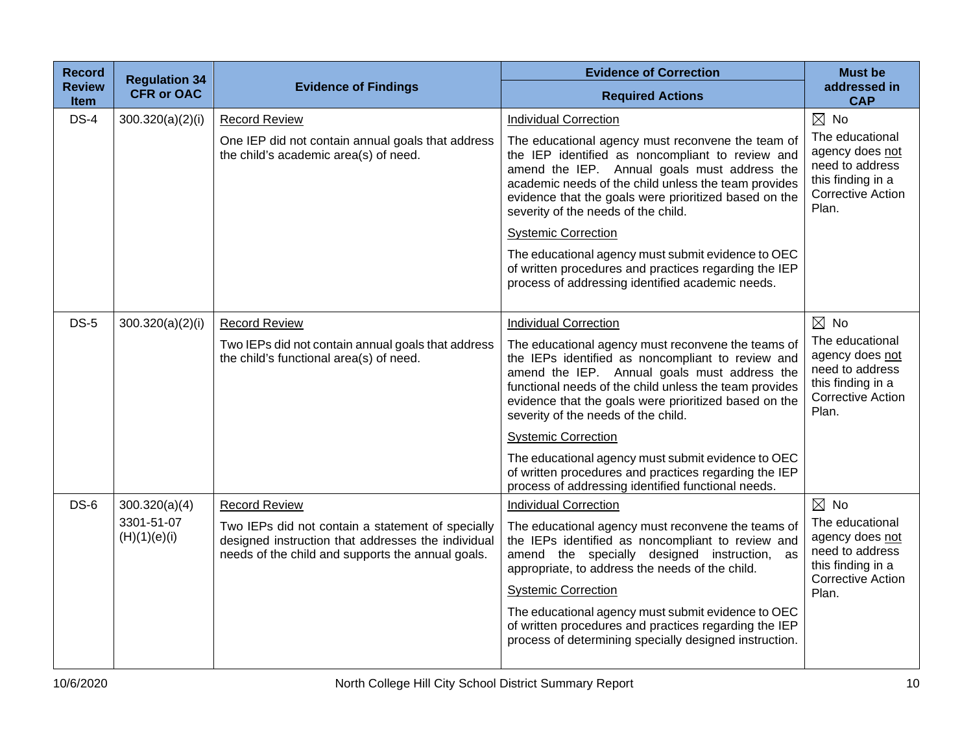| <b>Record</b><br><b>Review</b> | <b>Regulation 34</b><br><b>CFR or OAC</b> | <b>Evidence of Findings</b>                                                                                                                                  | <b>Evidence of Correction</b>                                                                                                                                                                                                                                                                                     | <b>Must be</b><br>addressed in                                                                                  |
|--------------------------------|-------------------------------------------|--------------------------------------------------------------------------------------------------------------------------------------------------------------|-------------------------------------------------------------------------------------------------------------------------------------------------------------------------------------------------------------------------------------------------------------------------------------------------------------------|-----------------------------------------------------------------------------------------------------------------|
| <b>Item</b>                    |                                           |                                                                                                                                                              | <b>Required Actions</b>                                                                                                                                                                                                                                                                                           | <b>CAP</b>                                                                                                      |
| $DS-4$                         | 300.320(a)(2)(i)                          | <b>Record Review</b>                                                                                                                                         | <b>Individual Correction</b>                                                                                                                                                                                                                                                                                      | $\boxtimes$ No                                                                                                  |
|                                |                                           | One IEP did not contain annual goals that address<br>the child's academic area(s) of need.                                                                   | The educational agency must reconvene the team of<br>the IEP identified as noncompliant to review and<br>amend the IEP. Annual goals must address the<br>academic needs of the child unless the team provides<br>evidence that the goals were prioritized based on the<br>severity of the needs of the child.     | The educational<br>agency does not<br>need to address<br>this finding in a<br><b>Corrective Action</b><br>Plan. |
|                                |                                           |                                                                                                                                                              | <b>Systemic Correction</b>                                                                                                                                                                                                                                                                                        |                                                                                                                 |
|                                |                                           |                                                                                                                                                              | The educational agency must submit evidence to OEC<br>of written procedures and practices regarding the IEP<br>process of addressing identified academic needs.                                                                                                                                                   |                                                                                                                 |
| <b>DS-5</b>                    | 300.320(a)(2)(i)                          | <b>Record Review</b>                                                                                                                                         | <b>Individual Correction</b>                                                                                                                                                                                                                                                                                      | $\boxtimes$ No                                                                                                  |
|                                |                                           | Two IEPs did not contain annual goals that address<br>the child's functional area(s) of need.                                                                | The educational agency must reconvene the teams of<br>the IEPs identified as noncompliant to review and<br>amend the IEP. Annual goals must address the<br>functional needs of the child unless the team provides<br>evidence that the goals were prioritized based on the<br>severity of the needs of the child. | The educational<br>agency does not<br>need to address<br>this finding in a<br><b>Corrective Action</b><br>Plan. |
|                                |                                           |                                                                                                                                                              | <b>Systemic Correction</b>                                                                                                                                                                                                                                                                                        |                                                                                                                 |
|                                |                                           |                                                                                                                                                              | The educational agency must submit evidence to OEC<br>of written procedures and practices regarding the IEP<br>process of addressing identified functional needs.                                                                                                                                                 |                                                                                                                 |
| $DS-6$                         | 300.320(a)(4)                             | <b>Record Review</b>                                                                                                                                         | <b>Individual Correction</b>                                                                                                                                                                                                                                                                                      | $\boxtimes$ No                                                                                                  |
|                                | 3301-51-07<br>(H)(1)(e)(i)                | Two IEPs did not contain a statement of specially<br>designed instruction that addresses the individual<br>needs of the child and supports the annual goals. | The educational agency must reconvene the teams of<br>the IEPs identified as noncompliant to review and<br>amend the specially designed instruction, as<br>appropriate, to address the needs of the child.                                                                                                        | The educational<br>agency does not<br>need to address<br>this finding in a<br><b>Corrective Action</b>          |
|                                |                                           |                                                                                                                                                              | <b>Systemic Correction</b>                                                                                                                                                                                                                                                                                        | Plan.                                                                                                           |
|                                |                                           |                                                                                                                                                              | The educational agency must submit evidence to OEC<br>of written procedures and practices regarding the IEP<br>process of determining specially designed instruction.                                                                                                                                             |                                                                                                                 |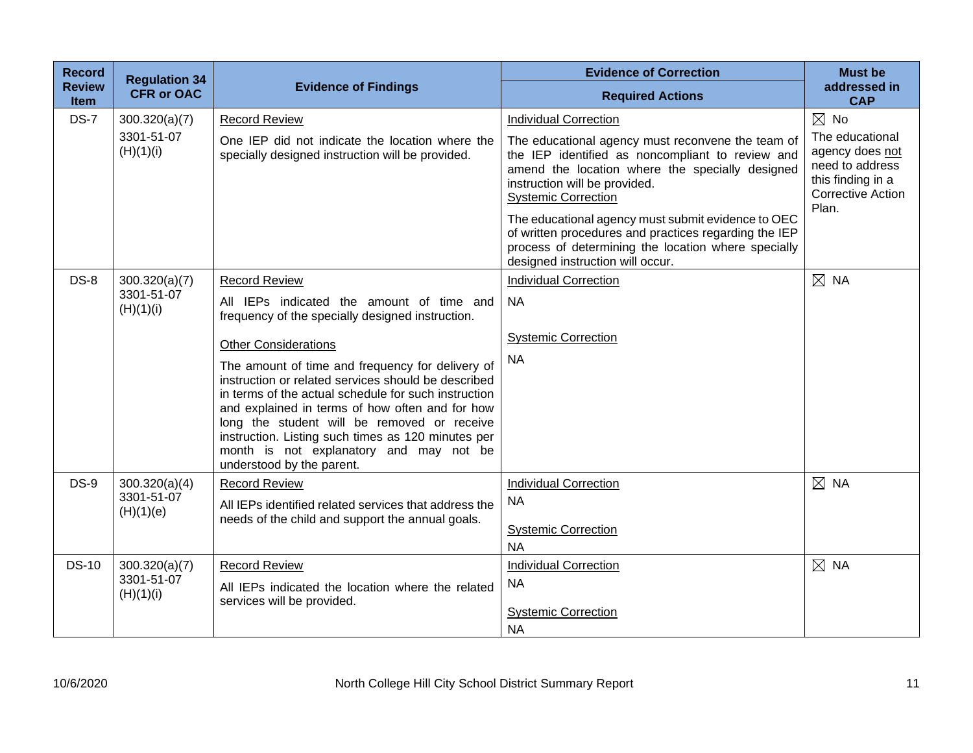| <b>Record</b>                | <b>Regulation 34</b>                     |                                                                                                                                                                                                                                                                                                                                                                                                 | <b>Evidence of Correction</b>                                                                                                                                                                                           | <b>Must be</b>                                                                                                  |
|------------------------------|------------------------------------------|-------------------------------------------------------------------------------------------------------------------------------------------------------------------------------------------------------------------------------------------------------------------------------------------------------------------------------------------------------------------------------------------------|-------------------------------------------------------------------------------------------------------------------------------------------------------------------------------------------------------------------------|-----------------------------------------------------------------------------------------------------------------|
| <b>Review</b><br><b>Item</b> | <b>CFR or OAC</b>                        | <b>Evidence of Findings</b>                                                                                                                                                                                                                                                                                                                                                                     | <b>Required Actions</b>                                                                                                                                                                                                 | addressed in<br><b>CAP</b>                                                                                      |
| $DS-7$                       | 300.320(a)(7)                            | <b>Record Review</b>                                                                                                                                                                                                                                                                                                                                                                            | <b>Individual Correction</b>                                                                                                                                                                                            | $\boxtimes$ No                                                                                                  |
|                              | 3301-51-07<br>(H)(1)(i)                  | One IEP did not indicate the location where the<br>specially designed instruction will be provided.                                                                                                                                                                                                                                                                                             | The educational agency must reconvene the team of<br>the IEP identified as noncompliant to review and<br>amend the location where the specially designed<br>instruction will be provided.<br><b>Systemic Correction</b> | The educational<br>agency does not<br>need to address<br>this finding in a<br><b>Corrective Action</b><br>Plan. |
|                              |                                          |                                                                                                                                                                                                                                                                                                                                                                                                 | The educational agency must submit evidence to OEC<br>of written procedures and practices regarding the IEP<br>process of determining the location where specially<br>designed instruction will occur.                  |                                                                                                                 |
| $DS-8$                       | 300.320(a)(7)                            | <b>Record Review</b>                                                                                                                                                                                                                                                                                                                                                                            | <b>Individual Correction</b>                                                                                                                                                                                            | $\boxtimes$ NA                                                                                                  |
|                              | 3301-51-07<br>(H)(1)(i)                  | All IEPs indicated the amount of time and<br>frequency of the specially designed instruction.                                                                                                                                                                                                                                                                                                   | <b>NA</b>                                                                                                                                                                                                               |                                                                                                                 |
|                              |                                          | <b>Other Considerations</b>                                                                                                                                                                                                                                                                                                                                                                     | <b>Systemic Correction</b>                                                                                                                                                                                              |                                                                                                                 |
|                              |                                          | The amount of time and frequency for delivery of<br>instruction or related services should be described<br>in terms of the actual schedule for such instruction<br>and explained in terms of how often and for how<br>long the student will be removed or receive<br>instruction. Listing such times as 120 minutes per<br>month is not explanatory and may not be<br>understood by the parent. | <b>NA</b>                                                                                                                                                                                                               |                                                                                                                 |
| $DS-9$                       | 300.320(a)(4)                            | <b>Record Review</b>                                                                                                                                                                                                                                                                                                                                                                            | <b>Individual Correction</b>                                                                                                                                                                                            | $\boxtimes$ NA                                                                                                  |
|                              | 3301-51-07<br>(H)(1)(e)                  | All IEPs identified related services that address the<br>needs of the child and support the annual goals.                                                                                                                                                                                                                                                                                       | <b>NA</b><br><b>Systemic Correction</b>                                                                                                                                                                                 |                                                                                                                 |
|                              |                                          |                                                                                                                                                                                                                                                                                                                                                                                                 | <b>NA</b>                                                                                                                                                                                                               |                                                                                                                 |
| <b>DS-10</b>                 | 300.320(a)(7)<br>3301-51-07<br>(H)(1)(i) | <b>Record Review</b><br>All IEPs indicated the location where the related                                                                                                                                                                                                                                                                                                                       | <b>Individual Correction</b><br><b>NA</b>                                                                                                                                                                               | $\boxtimes$ NA                                                                                                  |
|                              |                                          | services will be provided.                                                                                                                                                                                                                                                                                                                                                                      | <b>Systemic Correction</b><br><b>NA</b>                                                                                                                                                                                 |                                                                                                                 |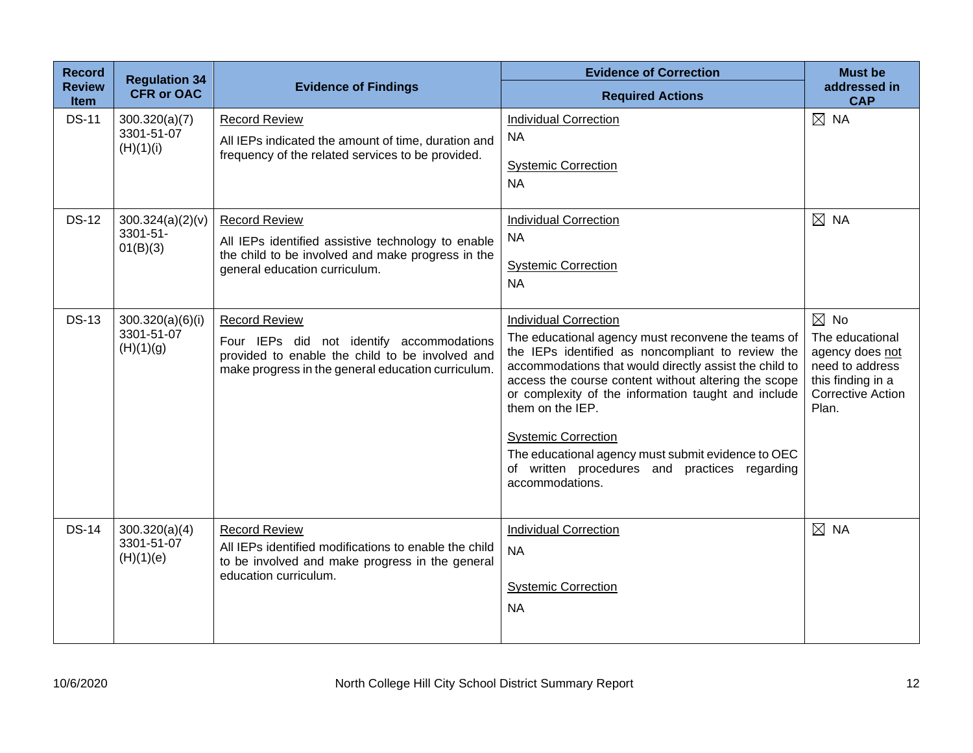| <b>Record</b><br><b>Review</b> | <b>Regulation 34</b><br><b>CFR or OAC</b>   | <b>Evidence of Findings</b>                                                                                                                                                | <b>Evidence of Correction</b><br><b>Required Actions</b>                                                                                                                                                                                                                                                                                                                                                                                                                                     | <b>Must be</b><br>addressed in                                                                                                    |
|--------------------------------|---------------------------------------------|----------------------------------------------------------------------------------------------------------------------------------------------------------------------------|----------------------------------------------------------------------------------------------------------------------------------------------------------------------------------------------------------------------------------------------------------------------------------------------------------------------------------------------------------------------------------------------------------------------------------------------------------------------------------------------|-----------------------------------------------------------------------------------------------------------------------------------|
| <b>Item</b><br><b>DS-11</b>    | 300.320(a)(7)<br>3301-51-07<br>(H)(1)(i)    | <b>Record Review</b><br>All IEPs indicated the amount of time, duration and<br>frequency of the related services to be provided.                                           | <b>Individual Correction</b><br><b>NA</b><br><b>Systemic Correction</b><br><b>NA</b>                                                                                                                                                                                                                                                                                                                                                                                                         | <b>CAP</b><br>$\boxtimes$ NA                                                                                                      |
| <b>DS-12</b>                   | 300.324(a)(2)(v)<br>3301-51-<br>01(B)(3)    | <b>Record Review</b><br>All IEPs identified assistive technology to enable<br>the child to be involved and make progress in the<br>general education curriculum.           | <b>Individual Correction</b><br><b>NA</b><br><b>Systemic Correction</b><br><b>NA</b>                                                                                                                                                                                                                                                                                                                                                                                                         | $\boxtimes$ NA                                                                                                                    |
| <b>DS-13</b>                   | 300.320(a)(6)(i)<br>3301-51-07<br>(H)(1)(g) | <b>Record Review</b><br>Four IEPs did not identify accommodations<br>provided to enable the child to be involved and<br>make progress in the general education curriculum. | <b>Individual Correction</b><br>The educational agency must reconvene the teams of<br>the IEPs identified as noncompliant to review the<br>accommodations that would directly assist the child to<br>access the course content without altering the scope<br>or complexity of the information taught and include<br>them on the IEP.<br><b>Systemic Correction</b><br>The educational agency must submit evidence to OEC<br>of written procedures and practices regarding<br>accommodations. | $\boxtimes$ No<br>The educational<br>agency does not<br>need to address<br>this finding in a<br><b>Corrective Action</b><br>Plan. |
| <b>DS-14</b>                   | 300.320(a)(4)<br>3301-51-07<br>(H)(1)(e)    | <b>Record Review</b><br>All IEPs identified modifications to enable the child<br>to be involved and make progress in the general<br>education curriculum.                  | <b>Individual Correction</b><br><b>NA</b><br><b>Systemic Correction</b><br><b>NA</b>                                                                                                                                                                                                                                                                                                                                                                                                         | $\boxtimes$ NA                                                                                                                    |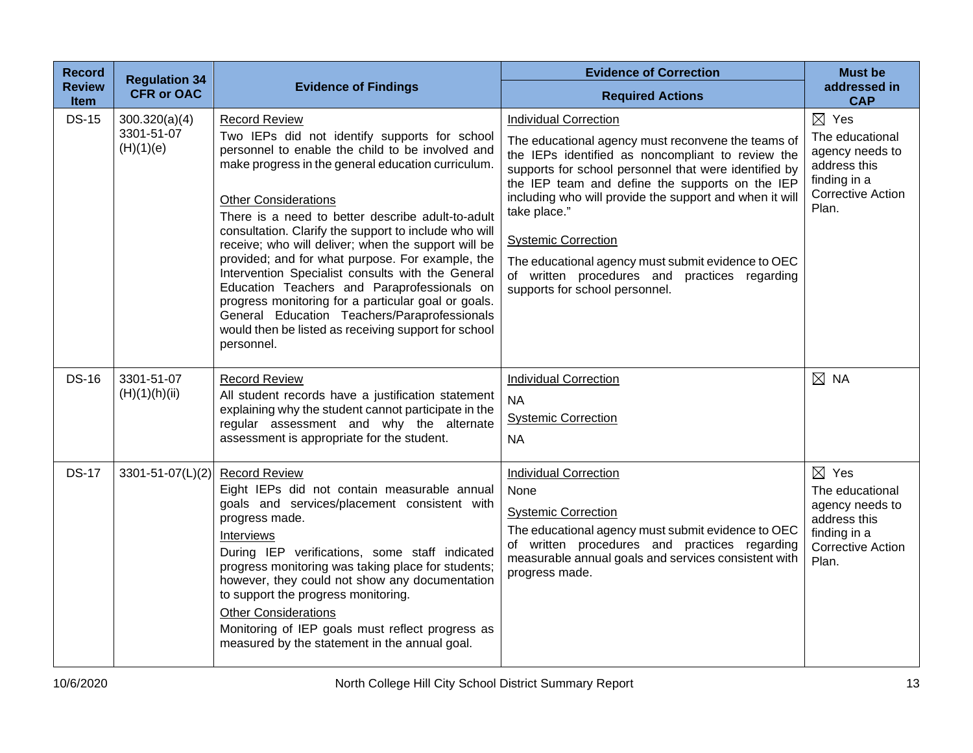| <b>Record</b>                | <b>Regulation 34</b>                     |                                                                                                                                                                                                                                                                                                                                                                                                                                                                                                                                                                                                                                                                                                                          | <b>Evidence of Correction</b>                                                                                                                                                                                                                                                                                                                                                                                                                                                                         | <b>Must be</b>                                                                                                             |
|------------------------------|------------------------------------------|--------------------------------------------------------------------------------------------------------------------------------------------------------------------------------------------------------------------------------------------------------------------------------------------------------------------------------------------------------------------------------------------------------------------------------------------------------------------------------------------------------------------------------------------------------------------------------------------------------------------------------------------------------------------------------------------------------------------------|-------------------------------------------------------------------------------------------------------------------------------------------------------------------------------------------------------------------------------------------------------------------------------------------------------------------------------------------------------------------------------------------------------------------------------------------------------------------------------------------------------|----------------------------------------------------------------------------------------------------------------------------|
| <b>Review</b><br><b>Item</b> | <b>CFR or OAC</b>                        | <b>Evidence of Findings</b>                                                                                                                                                                                                                                                                                                                                                                                                                                                                                                                                                                                                                                                                                              | <b>Required Actions</b>                                                                                                                                                                                                                                                                                                                                                                                                                                                                               | addressed in<br><b>CAP</b>                                                                                                 |
| <b>DS-15</b>                 | 300.320(a)(4)<br>3301-51-07<br>(H)(1)(e) | <b>Record Review</b><br>Two IEPs did not identify supports for school<br>personnel to enable the child to be involved and<br>make progress in the general education curriculum.<br><b>Other Considerations</b><br>There is a need to better describe adult-to-adult<br>consultation. Clarify the support to include who will<br>receive; who will deliver; when the support will be<br>provided; and for what purpose. For example, the<br>Intervention Specialist consults with the General<br>Education Teachers and Paraprofessionals on<br>progress monitoring for a particular goal or goals.<br>General Education Teachers/Paraprofessionals<br>would then be listed as receiving support for school<br>personnel. | <b>Individual Correction</b><br>The educational agency must reconvene the teams of<br>the IEPs identified as noncompliant to review the<br>supports for school personnel that were identified by<br>the IEP team and define the supports on the IEP<br>including who will provide the support and when it will<br>take place."<br><b>Systemic Correction</b><br>The educational agency must submit evidence to OEC<br>of written procedures and practices regarding<br>supports for school personnel. | $\boxtimes$ Yes<br>The educational<br>agency needs to<br>address this<br>finding in a<br><b>Corrective Action</b><br>Plan. |
| <b>DS-16</b>                 | 3301-51-07<br>(H)(1)(h)(ii)              | <b>Record Review</b><br>All student records have a justification statement<br>explaining why the student cannot participate in the<br>regular assessment and why the alternate<br>assessment is appropriate for the student.                                                                                                                                                                                                                                                                                                                                                                                                                                                                                             | <b>Individual Correction</b><br><b>NA</b><br><b>Systemic Correction</b><br><b>NA</b>                                                                                                                                                                                                                                                                                                                                                                                                                  | $\boxtimes$ NA                                                                                                             |
| <b>DS-17</b>                 | 3301-51-07(L)(2)                         | <b>Record Review</b><br>Eight IEPs did not contain measurable annual<br>goals and services/placement consistent with<br>progress made.<br>Interviews<br>During IEP verifications, some staff indicated<br>progress monitoring was taking place for students;<br>however, they could not show any documentation<br>to support the progress monitoring.<br><b>Other Considerations</b><br>Monitoring of IEP goals must reflect progress as<br>measured by the statement in the annual goal.                                                                                                                                                                                                                                | <b>Individual Correction</b><br>None<br><b>Systemic Correction</b><br>The educational agency must submit evidence to OEC<br>of written procedures and practices regarding<br>measurable annual goals and services consistent with<br>progress made.                                                                                                                                                                                                                                                   | $\boxtimes$ Yes<br>The educational<br>agency needs to<br>address this<br>finding in a<br><b>Corrective Action</b><br>Plan. |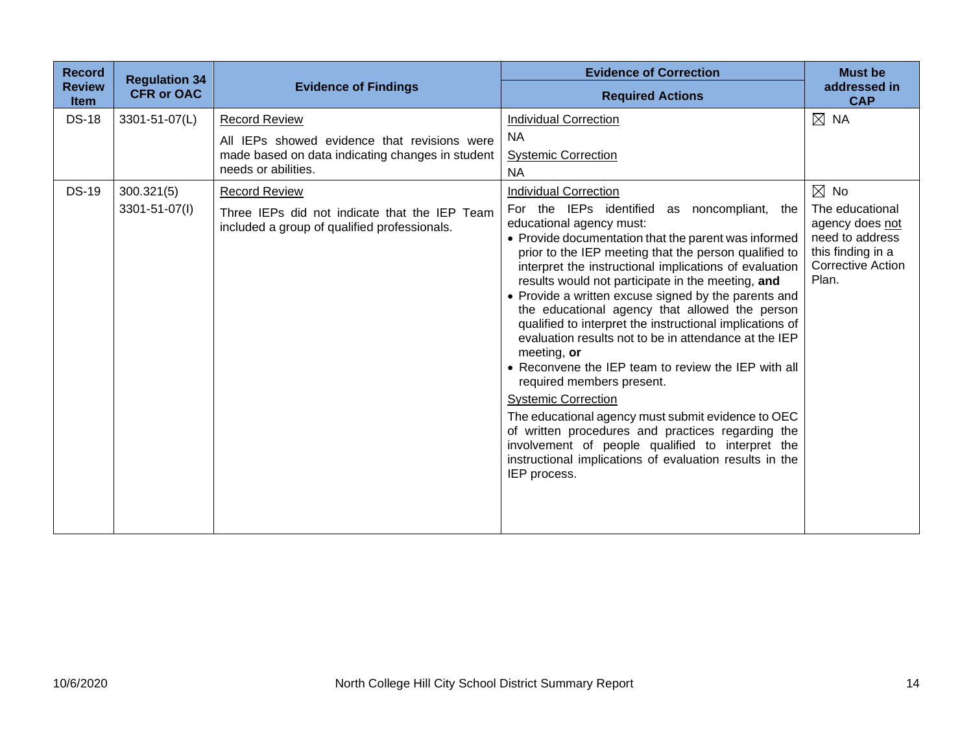| <b>Record</b>                | <b>Regulation 34</b> |                                                                                                                         | <b>Evidence of Correction</b>                                                                                                                                                                                                                                                                                                                                                                                                                                                                                                                                                                                                                                                                                                                                                                                                                                                                                            | <b>Must be</b>                                                                                                  |
|------------------------------|----------------------|-------------------------------------------------------------------------------------------------------------------------|--------------------------------------------------------------------------------------------------------------------------------------------------------------------------------------------------------------------------------------------------------------------------------------------------------------------------------------------------------------------------------------------------------------------------------------------------------------------------------------------------------------------------------------------------------------------------------------------------------------------------------------------------------------------------------------------------------------------------------------------------------------------------------------------------------------------------------------------------------------------------------------------------------------------------|-----------------------------------------------------------------------------------------------------------------|
| <b>Review</b><br><b>Item</b> | <b>CFR or OAC</b>    | <b>Evidence of Findings</b>                                                                                             | <b>Required Actions</b>                                                                                                                                                                                                                                                                                                                                                                                                                                                                                                                                                                                                                                                                                                                                                                                                                                                                                                  | addressed in<br><b>CAP</b>                                                                                      |
| <b>DS-18</b>                 | 3301-51-07(L)        | <b>Record Review</b>                                                                                                    | <b>Individual Correction</b>                                                                                                                                                                                                                                                                                                                                                                                                                                                                                                                                                                                                                                                                                                                                                                                                                                                                                             | $\boxtimes$ NA                                                                                                  |
|                              |                      | All IEPs showed evidence that revisions were<br>made based on data indicating changes in student<br>needs or abilities. | NA.<br><b>Systemic Correction</b><br><b>NA</b>                                                                                                                                                                                                                                                                                                                                                                                                                                                                                                                                                                                                                                                                                                                                                                                                                                                                           |                                                                                                                 |
| <b>DS-19</b>                 | 300.321(5)           | <b>Record Review</b>                                                                                                    | <b>Individual Correction</b>                                                                                                                                                                                                                                                                                                                                                                                                                                                                                                                                                                                                                                                                                                                                                                                                                                                                                             | $\boxtimes$ No                                                                                                  |
|                              | 3301-51-07(I)        | Three IEPs did not indicate that the IEP Team<br>included a group of qualified professionals.                           | For the IEPs identified<br>as noncompliant,<br>the<br>educational agency must:<br>• Provide documentation that the parent was informed<br>prior to the IEP meeting that the person qualified to<br>interpret the instructional implications of evaluation<br>results would not participate in the meeting, and<br>• Provide a written excuse signed by the parents and<br>the educational agency that allowed the person<br>qualified to interpret the instructional implications of<br>evaluation results not to be in attendance at the IEP<br>meeting, or<br>• Reconvene the IEP team to review the IEP with all<br>required members present.<br><b>Systemic Correction</b><br>The educational agency must submit evidence to OEC<br>of written procedures and practices regarding the<br>involvement of people qualified to interpret the<br>instructional implications of evaluation results in the<br>IEP process. | The educational<br>agency does not<br>need to address<br>this finding in a<br><b>Corrective Action</b><br>Plan. |